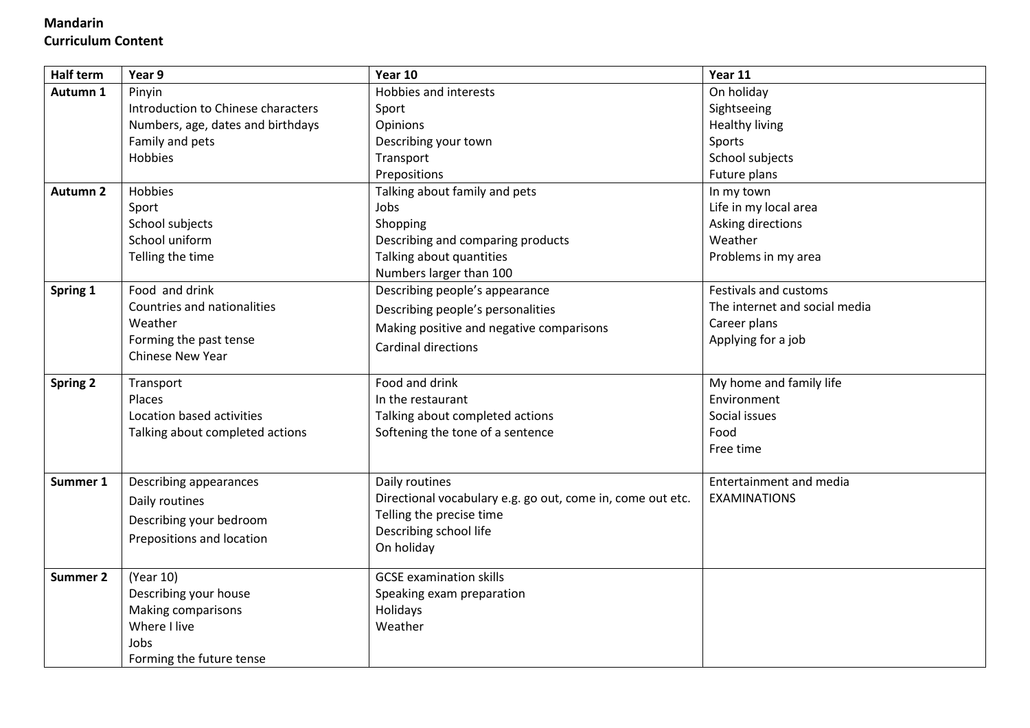## **Mandarin Curriculum Content**

| <b>Half term</b> | Year 9                             | Year 10                                                    | Year 11                        |
|------------------|------------------------------------|------------------------------------------------------------|--------------------------------|
| Autumn 1         | Pinyin                             | Hobbies and interests                                      | On holiday                     |
|                  | Introduction to Chinese characters | Sport                                                      | Sightseeing                    |
|                  | Numbers, age, dates and birthdays  | Opinions                                                   | Healthy living                 |
|                  | Family and pets                    | Describing your town                                       | Sports                         |
|                  | <b>Hobbies</b>                     | Transport                                                  | School subjects                |
|                  |                                    | Prepositions                                               | Future plans                   |
| <b>Autumn 2</b>  | Hobbies                            | Talking about family and pets                              | In my town                     |
|                  | Sport                              | Jobs                                                       | Life in my local area          |
|                  | School subjects                    | Shopping                                                   | Asking directions              |
|                  | School uniform                     | Describing and comparing products                          | Weather                        |
|                  | Telling the time                   | Talking about quantities                                   | Problems in my area            |
|                  |                                    | Numbers larger than 100                                    |                                |
| Spring 1         | Food and drink                     | Describing people's appearance                             | Festivals and customs          |
|                  | Countries and nationalities        | Describing people's personalities                          | The internet and social media  |
|                  | Weather                            | Making positive and negative comparisons                   | Career plans                   |
|                  | Forming the past tense             | Cardinal directions                                        | Applying for a job             |
|                  | <b>Chinese New Year</b>            |                                                            |                                |
| <b>Spring 2</b>  | Transport                          | Food and drink                                             | My home and family life        |
|                  | Places                             | In the restaurant                                          | Environment                    |
|                  | Location based activities          | Talking about completed actions                            | Social issues                  |
|                  | Talking about completed actions    | Softening the tone of a sentence                           | Food                           |
|                  |                                    |                                                            | Free time                      |
|                  |                                    |                                                            |                                |
| Summer 1         | Describing appearances             | Daily routines                                             | <b>Entertainment and media</b> |
|                  | Daily routines                     | Directional vocabulary e.g. go out, come in, come out etc. | <b>EXAMINATIONS</b>            |
|                  | Describing your bedroom            | Telling the precise time                                   |                                |
|                  | Prepositions and location          | Describing school life                                     |                                |
|                  |                                    | On holiday                                                 |                                |
| Summer 2         | (Year 10)                          | <b>GCSE examination skills</b>                             |                                |
|                  | Describing your house              | Speaking exam preparation                                  |                                |
|                  | Making comparisons                 | Holidays                                                   |                                |
|                  | Where I live                       | Weather                                                    |                                |
|                  | Jobs                               |                                                            |                                |
|                  | Forming the future tense           |                                                            |                                |